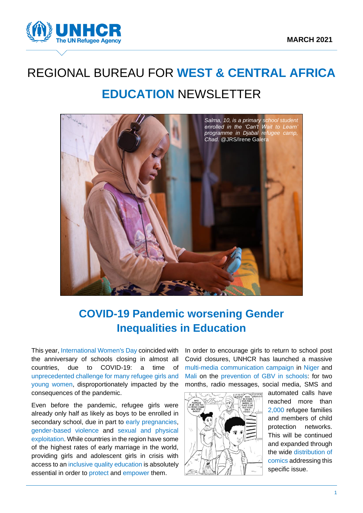

# REGIONAL BUREAU FOR **WEST & CENTRAL AFRICA EDUCATION** NEWSLETTER



## **COVID-19 Pandemic worsening Gender Inequalities in Education**

This year, International Women's Day coincided with the anniversary of schools closing in almost all countries, due to COVID-19: a time of unprecedented challenge for many refugee girls and young women, disproportionately impacted by the consequences of the pandemic.

Even before the pandemic, refugee girls were already only half as likely as boys to be enrolled in secondary school, due in part to early pregnancies, gender-based violence and sexual and physical exploitation. While countries in the region have some of the highest rates of early marriage in the world, providing girls and adolescent girls in crisis with access to an inclusive quality education is absolutely essential in order to protect and empower them.

In order to encourage girls to return to school post Covid closures, UNHCR has launched a massive multi-media communication campaign in Niger and Mali on the prevention of GBV in schools: for two months, radio messages, social media, SMS and



automated calls have reached more than 2,000 refugee families and members of child protection networks. This will be continued and expanded through the wide distribution of comics addressing this specific issue.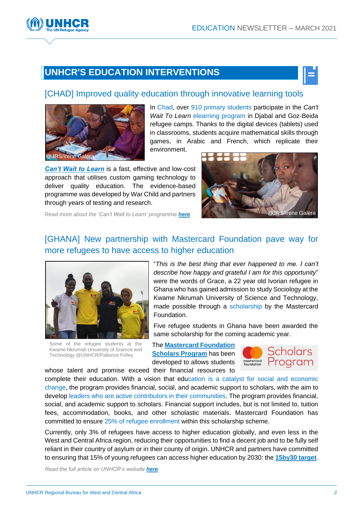## **UNHCR'S EDUCATION INTERVENTIONS**

#### [\[CHAD\]](https://www.auf.org/nouvelles/actualites/soutenir-reussite-refugies-lenseignement-superieur%e2%80%af/?utm_source=email&utm_campaign=Lettre_dinformation_de_lAUF___Mars_2021&utm_medium=email) Improved quality education through innovative learning tools



In Chad, over 910 primary students participate in the *Can't Wait To Learn* elearning program in Djabal and Goz-Beida refugee camps. Thanks to the digital devices (tablets) used in classrooms, students acquire mathematical skills through games, in Arabic and French, which replicate their environment.

*[Can't Wait to Learn](https://www.warchildholland.org/projects/cwtl/)* is a fast, effective and low-cost approach that utilises custom gaming technology to deliver quality education. The evidence-based programme was developed by War Child and partners through years of testing and research.



*Read more about the 'Can't Wait to Learn' programme [here](https://www.warchildholland.org/projects/cwtl/).*

### [\[GHANA\] New partnership with Mastercard Foundation](https://www.unhcr.org/gh/2021/04/06/mastercard-scholarship-pave-way-for-more-refugees-in-ghana-to-have-access-to-higher-education/) pave way for [more refugees to have access to higher education](https://www.unhcr.org/gh/2021/04/06/mastercard-scholarship-pave-way-for-more-refugees-in-ghana-to-have-access-to-higher-education/)



Some of the refugee students at the Kwame Nkrumah University of Science and Technology @UNHCR/Patience Folley

"*This is the best thing that ever happened to me. I can't describe how happy and grateful I am for this opportunity*" were the words of Grace, a 22 year old Ivorian refugee in Ghana who has gained admission to study Sociology at the Kwame Nkrumah University of Science and Technology, made possible through a scholarship by the Mastercard Foundation.

Five refugee students in Ghana have been awarded the same scholarship for the coming academic year.

The **[Mastercard Foundation](https://mastercardfdn.org/all/scholars/)  [Scholars Program](https://mastercardfdn.org/all/scholars/)** has been developed to allows students



complete their education. With a vision that education is a catalyst for social and economic change, the program provides financial, social, and academic support to scholars, with the aim to develop leaders who are active contributors in their communities. The program provides financial, social, and academic support to scholars. Financial support includes, but is not limited to, tuition fees, accommodation, books, and other scholastic materials. Mastercard Foundation has committed to ensure 25% of refugee enrollment within this scholarship scheme.

whose talent and promise exceed their financial resources to

Currently, only 3% of refugees have access to higher education globally, and even less in the West and Central Africa region, reducing their opportunities to find a decent job and to be fully self reliant in their country of asylum or in their county of origin. UNHCR and partners have committed to ensuring that 15% of young refugees can access higher education by 2030: the **[15by30 target](https://www.unhcr.org/tertiary-education.html)**.

*Read the full article on UNHCR's website [here](https://www.unhcr.org/gh/2021/04/06/mastercard-scholarship-pave-way-for-more-refugees-in-ghana-to-have-access-to-higher-education/).*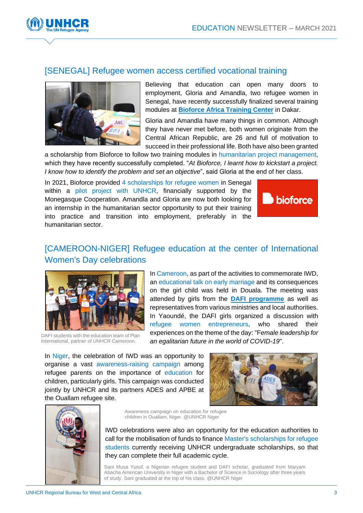

#### [SENEGAL] Refugee women access certified vocational training



Believing that education can open many doors to employment, Gloria and Amandla, two refugee women in Senegal, have recently successfully finalized several training modules at **[Bioforce Africa Training Center](https://www.bioforce.org/learn/centres/afrique/)** in Dakar.

Gloria and Amandla have many things in common. Although they have never met before, both women originate from the Central African Republic, are 26 and full of motivation to succeed in their professional life. Both have also been granted

a scholarship from Bioforce to follow two training modules in humanitarian project management, which they have recently successfully completed. "*At Bioforce, I learnt how to kickstart a project. I know how to identify the problem and set an objective*", said Gloria at the end of her class.

In 2021, Bioforce provided 4 scholarships for refugee women in Senegal within a pilot project with UNHCR, financially supported by the Monegasque Cooperation. Amandla and Gloria are now both looking for an internship in the humanitarian sector opportunity to put their training into practice and transition into employment, preferably in the humanitarian sector.



## [CAMEROON-NIGER] Refugee education at the center of International Women's Day celebrations



DAFI students with the education team of Plan International, partner of UNHCR Cameroon.

In Cameroon, as part of the activities to commemorate IWD, an educational talk on early marriage and its consequences on the girl child was held in Douala. The meeting was attended by girls from the **[DAFI programme](https://www.unhcr.org/dafi-scholarships.html)** as well as representatives from various ministries and local authorities. In Yaoundé, the DAFI girls organized a discussion with refugee women entrepreneurs, who shared their experiences on the theme of the day: "F*emale leadership for an egalitarian future in the world of COVID-19*".

In Niger, the celebration of IWD was an opportunity to organise a vast awareness-raising campaign among refugee parents on the importance of education for children, particularly girls. This campaign was conducted jointly by UNHCR and its partners ADES and APBE at the Ouallam refugee site.





Awareness campaign on education for refugee children in Ouallam, Niger. @UNHCR Niger

IWD celebrations were also an opportunity for the education authorities to call for the mobilisation of funds to finance Master's scholarships for refugee students currently receiving UNHCR undergraduate scholarships, so that they can complete their full academic cycle.

Sani Musa Yusuf, a Nigerian refugee student and DAFI scholar, graduated from Maryam Abacha American University in Niger with a Bachelor of Science in Sociology after three years of study. Sani graduated at the top of his class. @UNHCR Niger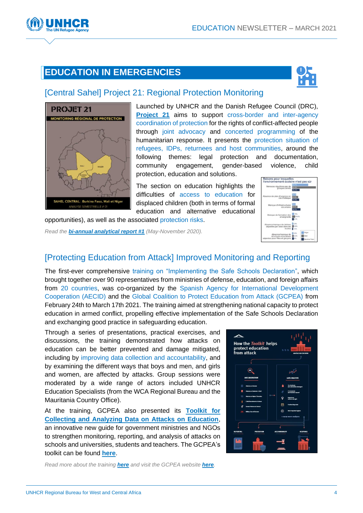## **EDUCATION IN EMERGENCIES**



#### [Central Sahel] Project 21: [Regional Protection Monitoring](https://r4sahel.info/fr/documents/details/85474)



Launched by UNHCR and the Danish Refugee Council (DRC), **[Project 21](https://r4sahel.info/fr/documents/details/85474)** aims to support cross-border and inter-agency coordination of protection for the rights of conflict-affected people through joint advocacy and concerted programming of the humanitarian response. It presents the protection situation of refugees, IDPs, returnees and host communities, around the following themes: legal protection and documentation, community engagement, gender-based violence, child protection, education and solutions.

The section on education highlights the difficulties of access to education for displaced children (both in terms of formal education and alternative educational

opportunities), as well as the associated protection risks.

*Read the [bi-annual analytical report #1](https://r4sahel.info/fr/documents/details/85474) (May-November 2020).*



## [Protecting Education from Attack] Improved Monitoring and Reporting

The first-ever comprehensive training on "Implementing the Safe Schools Declaration", which brought together over 90 representatives from ministries of defense, education, and foreign affairs from 20 countries, was co-organized by the Spanish Agency for International Development Cooperation (AECID) and the Global Coalition to Protect Education from Attack (GCPEA) from February 24th to March 17th 2021. The training aimed at strengthening national capacity to protect education in armed conflict, propelling effective implementation of the Safe Schools Declaration and exchanging good practice in safeguarding education.

Through a series of presentations, practical exercises, and discussions, the training demonstrated how attacks on education can be better prevented and damage mitigated, including by improving data collection and accountability, and by examining the different ways that boys and men, and girls and women, are affected by attacks. Group sessions were moderated by a wide range of actors included UNHCR Education Specialists (from the WCA Regional Bureau and the Mauritania Country Office).

At the training, GCPEA also presented its **[Toolkit for](https://lnkd.in/gxEMNrz)  [Collecting and Analyzing Data on Attacks on Education](https://lnkd.in/gxEMNrz)**, an innovative new guide for government ministries and NGOs to strengthen monitoring, reporting, and analysis of attacks on schools and universities, students and teachers. The GCPEA's toolkit can be found **[here](https://lnkd.in/gxEMNrz)**.



*Read more about the training [here](https://mailchi.mp/protectingeducation/states-build-capacity-to-protect-education-from-attack-at-first-international-training-on-implementing-the-safe-schools-declaration?e=b93b25d966) and visit the GCPEA website [here](https://protectingeducation.org/).*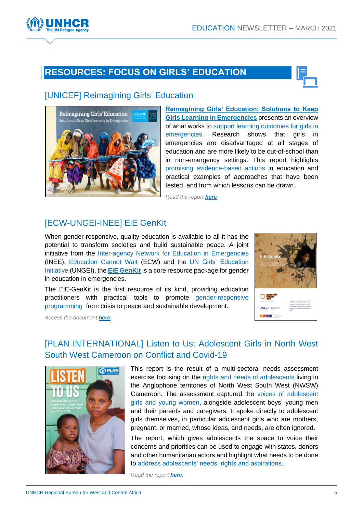## **RESOURCES: FOCUS ON GIRLS' EDUCATION**



#### [\[UNICEF\] Reimagining Girls'](https://wcmsprod.unicef.org/reports/reimagining-girls-education) Education



**[Reimagining Girls' Education: Solutions to Keep](https://wcmsprod.unicef.org/reports/reimagining-girls-education) [Girls Learning in Emergencies](https://wcmsprod.unicef.org/reports/reimagining-girls-education)** presents an overview of what works to support learning outcomes for girls in emergencies. Research shows that girls in emergencies are disadvantaged at all stages of education and are more likely to be out-of-school than in non-emergency settings. This report highlights promising evidence-based actions in education and practical examples of approaches that have been tested, and from which lessons can be drawn.

*Read the report [here](https://wcmsprod.unicef.org/reports/reimagining-girls-education).*

#### [\[ECW-UNGEI-INEE\] EiE GenKit](https://www.ungei.org/publication/eie-genkit)

When gender-responsive, quality education is available to all it has the potential to transform societies and build sustainable peace. A joint initiative from the Inter-agency Network for Education in Emergencies (INEE), Education Cannot Wait (ECW) and the UN Girls' Education Initiative (UNGEI), the **[EiE GenKit](https://www.ungei.org/publication/eie-genkit)** is a core resource package for gender in education in emergencies.

The EiE-GenKit is the first resource of its kind, providing education practitioners with practical tools to promote gender-responsive programming from crisis to peace and sustainable development.



*Access the document [here](https://www.ungei.org/publication/eie-genkit).*

### [PLAN INTERNATIONAL] Listen to [Us: Adolescent Girls in North West](https://plan-international.org/publications/listen-us-adolescent-girls-conflict-and-covid-19#download-options)  [South West Cameroon on Conflict and Covid-19](https://plan-international.org/publications/listen-us-adolescent-girls-conflict-and-covid-19#download-options)



This report is the result of a multi-sectoral needs assessment exercise focusing on the rights and needs of adolescents living in the Anglophone territories of North West South West (NWSW) Cameroon. The assessment captured the voices of adolescent girls and young women, alongside adolescent boys, young men and their parents and caregivers. It spoke directly to adolescent girls themselves, in particular adolescent girls who are mothers, pregnant, or married, whose ideas, and needs, are often ignored.

The report, which gives adolescents the space to voice their concerns and priorities can be used to engage with states, donors and other humanitarian actors and highlight what needs to be done to address adolescents' needs, rights and aspirations.

*Read the report [here](https://plan-international.org/publications/listen-us-adolescent-girls-conflict-and-covid-19#download-options).*